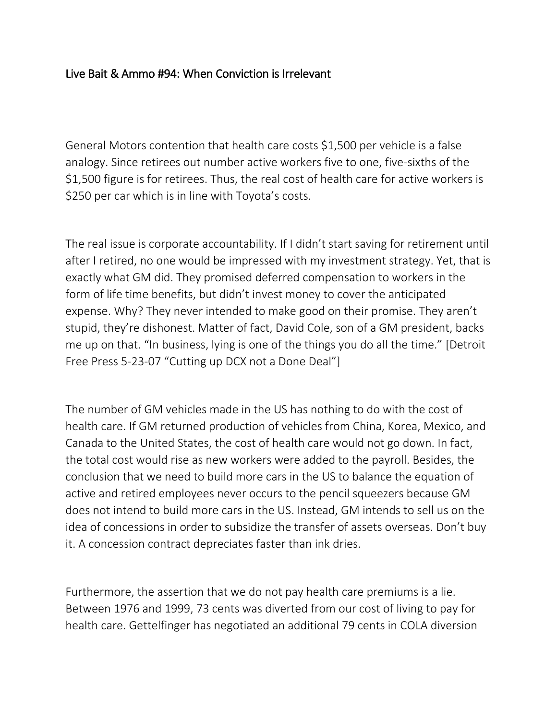## Live Bait & Ammo #94: When Conviction is Irrelevant

General Motors contention that health care costs \$1,500 per vehicle is a false analogy. Since retirees out number active workers five to one, five-sixths of the \$1,500 figure is for retirees. Thus, the real cost of health care for active workers is \$250 per car which is in line with Toyota's costs.

The real issue is corporate accountability. If I didn't start saving for retirement until after I retired, no one would be impressed with my investment strategy. Yet, that is exactly what GM did. They promised deferred compensation to workers in the form of life time benefits, but didn't invest money to cover the anticipated expense. Why? They never intended to make good on their promise. They aren't stupid, they're dishonest. Matter of fact, David Cole, son of a GM president, backs me up on that. "In business, lying is one of the things you do all the time." [Detroit Free Press 5-23-07 "Cutting up DCX not a Done Deal"]

The number of GM vehicles made in the US has nothing to do with the cost of health care. If GM returned production of vehicles from China, Korea, Mexico, and Canada to the United States, the cost of health care would not go down. In fact, the total cost would rise as new workers were added to the payroll. Besides, the conclusion that we need to build more cars in the US to balance the equation of active and retired employees never occurs to the pencil squeezers because GM does not intend to build more cars in the US. Instead, GM intends to sell us on the idea of concessions in order to subsidize the transfer of assets overseas. Don't buy it. A concession contract depreciates faster than ink dries.

Furthermore, the assertion that we do not pay health care premiums is a lie. Between 1976 and 1999, 73 cents was diverted from our cost of living to pay for health care. Gettelfinger has negotiated an additional 79 cents in COLA diversion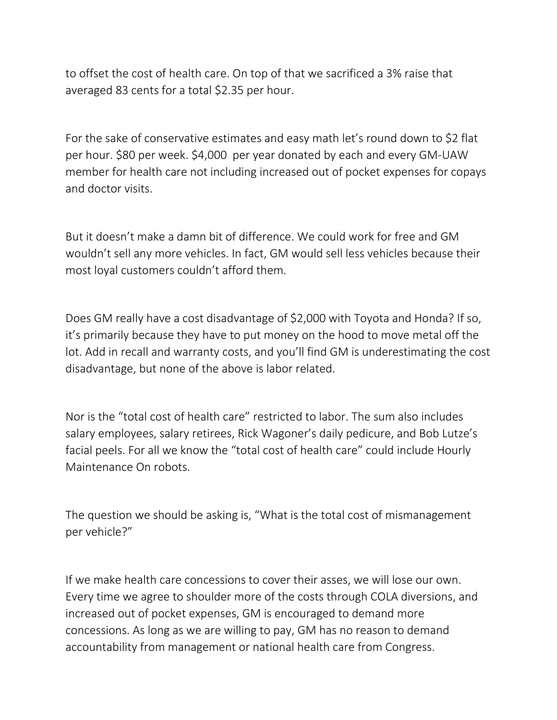to offset the cost of health care. On top of that we sacrificed a 3% raise that averaged 83 cents for a total \$2.35 per hour.

For the sake of conservative estimates and easy math let's round down to \$2 flat per hour. \$80 per week. \$4,000 per year donated by each and every GM-UAW member for health care not including increased out of pocket expenses for copays and doctor visits.

But it doesn't make a damn bit of difference. We could work for free and GM wouldn't sell any more vehicles. In fact, GM would sell less vehicles because their most loyal customers couldn't afford them.

Does GM really have a cost disadvantage of \$2,000 with Toyota and Honda? If so, it's primarily because they have to put money on the hood to move metal off the lot. Add in recall and warranty costs, and you'll find GM is underestimating the cost disadvantage, but none of the above is labor related.

Nor is the "total cost of health care" restricted to labor. The sum also includes salary employees, salary retirees, Rick Wagoner's daily pedicure, and Bob Lutze's facial peels. For all we know the "total cost of health care" could include Hourly Maintenance On robots.

The question we should be asking is, "What is the total cost of mismanagement per vehicle?"

If we make health care concessions to cover their asses, we will lose our own. Every time we agree to shoulder more of the costs through COLA diversions, and increased out of pocket expenses, GM is encouraged to demand more concessions. As long as we are willing to pay, GM has no reason to demand accountability from management or national health care from Congress.